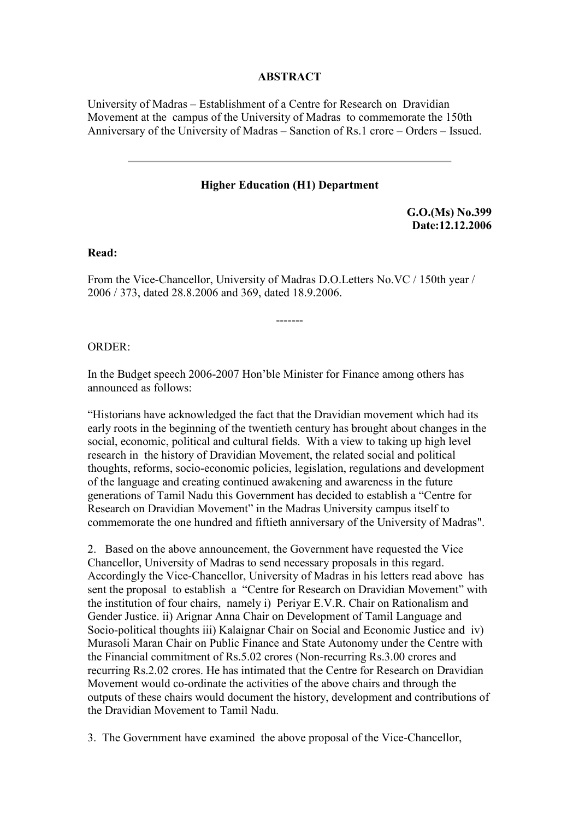## **ABSTRACT**

University of Madras – Establishment of a Centre for Research on Dravidian Movement at the campus of the University of Madras to commemorate the 150th Anniversary of the University of Madras – Sanction of Rs.1 crore – Orders – Issued.

## **Higher Education (H1) Department**

**G.O.(Ms) No.399 Date:12.12.2006**

**Read:**

From the Vice-Chancellor, University of Madras D.O.Letters No.VC / 150th year / 2006 / 373, dated 28.8.2006 and 369, dated 18.9.2006.

-------

ORDER:

In the Budget speech 2006-2007 Hon'ble Minister for Finance among others has announced as follows:

"Historians have acknowledged the fact that the Dravidian movement which had its early roots in the beginning of the twentieth century has brought about changes in the social, economic, political and cultural fields. With a view to taking up high level research in the history of Dravidian Movement, the related social and political thoughts, reforms, socio-economic policies, legislation, regulations and development of the language and creating continued awakening and awareness in the future generations of Tamil Nadu this Government has decided to establish a "Centre for Research on Dravidian Movement" in the Madras University campus itself to commemorate the one hundred and fiftieth anniversary of the University of Madras".

2. Based on the above announcement, the Government have requested the Vice Chancellor, University of Madras to send necessary proposals in this regard. Accordingly the Vice-Chancellor, University of Madras in his letters read above has sent the proposal to establish a "Centre for Research on Dravidian Movement" with the institution of four chairs, namely i) Periyar E.V.R. Chair on Rationalism and Gender Justice. ii) Arignar Anna Chair on Development of Tamil Language and Socio-political thoughts iii) Kalaignar Chair on Social and Economic Justice and iv) Murasoli Maran Chair on Public Finance and State Autonomy under the Centre with the Financial commitment of Rs.5.02 crores (Non-recurring Rs.3.00 crores and recurring Rs.2.02 crores. He has intimated that the Centre for Research on Dravidian Movement would co-ordinate the activities of the above chairs and through the outputs of these chairs would document the history, development and contributions of the Dravidian Movement to Tamil Nadu.

3. The Government have examined the above proposal of the Vice-Chancellor,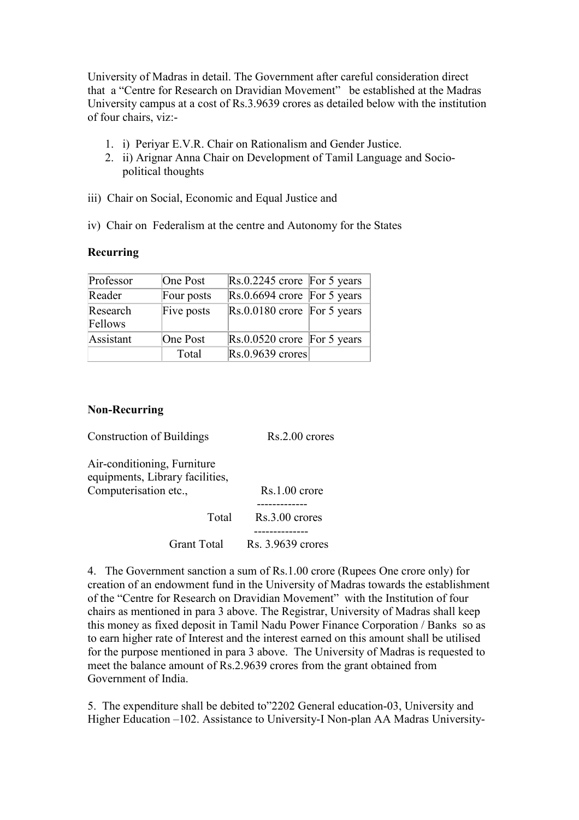University of Madras in detail. The Government after careful consideration direct that a "Centre for Research on Dravidian Movement" be established at the Madras University campus at a cost of Rs.3.9639 crores as detailed below with the institution of four chairs, viz:-

- 1. i) Periyar E.V.R. Chair on Rationalism and Gender Justice.
- 2. ii) Arignar Anna Chair on Development of Tamil Language and Sociopolitical thoughts
- iii) Chair on Social, Economic and Equal Justice and
- iv) Chair on Federalism at the centre and Autonomy for the States

## **Recurring**

| Professor           | One Post   | $\text{Rs.}0.2245$ crore For 5 years        |
|---------------------|------------|---------------------------------------------|
| Reader              | Four posts | $\text{Rs.}0.6694$ crore For 5 years        |
| Research<br>Fellows | Five posts | $\vert$ Rs.0.0180 crore $\vert$ For 5 years |
| Assistant           | One Post   | $\text{Rs.}0.0520$ crore For 5 years        |
|                     | Total      | $Rs.0.9639$ crores                          |

## **Non-Recurring**

Construction of Buildings Rs.2.00 crores

Air-conditioning, Furniture equipments, Library facilities, Computerisation etc., Rs.1.00 crore

 ------------- Total Rs.3.00 crores -------------- Grant Total Rs. 3.9639 crores

4. The Government sanction a sum of Rs.1.00 crore (Rupees One crore only) for creation of an endowment fund in the University of Madras towards the establishment of the "Centre for Research on Dravidian Movement" with the Institution of four chairs as mentioned in para 3 above. The Registrar, University of Madras shall keep this money as fixed deposit in Tamil Nadu Power Finance Corporation / Banks so as to earn higher rate of Interest and the interest earned on this amount shall be utilised for the purpose mentioned in para 3 above. The University of Madras is requested to meet the balance amount of Rs.2.9639 crores from the grant obtained from Government of India.

5. The expenditure shall be debited to"2202 General education-03, University and Higher Education –102. Assistance to University-I Non-plan AA Madras University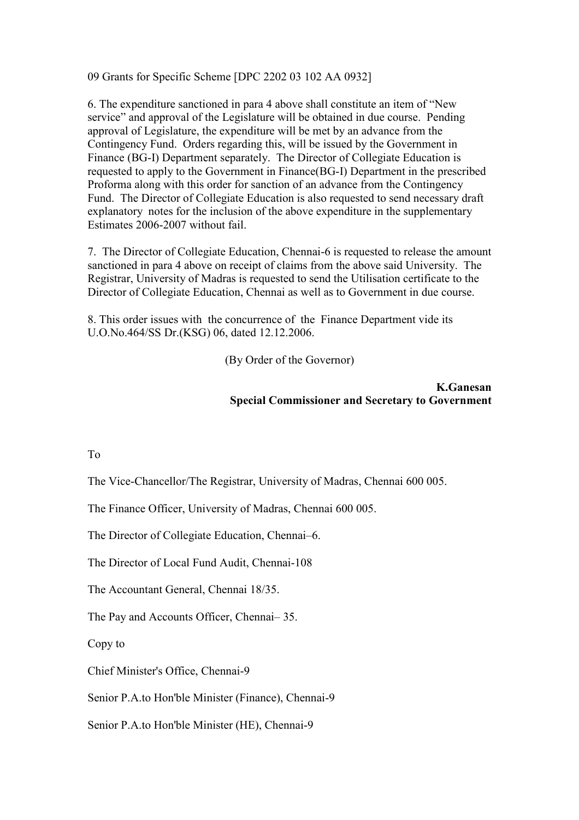09 Grants for Specific Scheme [DPC 2202 03 102 AA 0932]

6. The expenditure sanctioned in para 4 above shall constitute an item of "New service" and approval of the Legislature will be obtained in due course. Pending approval of Legislature, the expenditure will be met by an advance from the Contingency Fund. Orders regarding this, will be issued by the Government in Finance (BG-I) Department separately. The Director of Collegiate Education is requested to apply to the Government in Finance(BG-I) Department in the prescribed Proforma along with this order for sanction of an advance from the Contingency Fund. The Director of Collegiate Education is also requested to send necessary draft explanatory notes for the inclusion of the above expenditure in the supplementary Estimates 2006-2007 without fail.

7. The Director of Collegiate Education, Chennai-6 is requested to release the amount sanctioned in para 4 above on receipt of claims from the above said University. The Registrar, University of Madras is requested to send the Utilisation certificate to the Director of Collegiate Education, Chennai as well as to Government in due course.

8. This order issues with the concurrence of the Finance Department vide its U.O.No.464/SS Dr.(KSG) 06, dated 12.12.2006.

(By Order of the Governor)

**K.Ganesan Special Commissioner and Secretary to Government**

To

The Vice-Chancellor/The Registrar, University of Madras, Chennai 600 005.

The Finance Officer, University of Madras, Chennai 600 005.

The Director of Collegiate Education, Chennai–6.

The Director of Local Fund Audit, Chennai-108

The Accountant General, Chennai 18/35.

The Pay and Accounts Officer, Chennai– 35.

Copy to

Chief Minister's Office, Chennai-9

Senior P.A.to Hon'ble Minister (Finance), Chennai-9

Senior P.A.to Hon'ble Minister (HE), Chennai-9